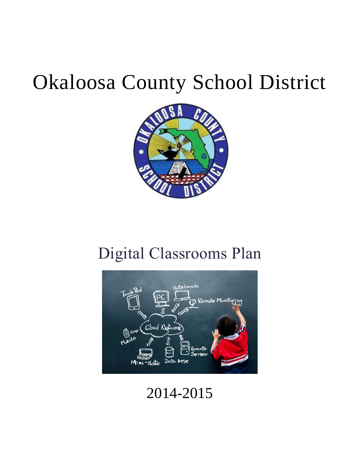# Okaloosa County School District



# Digital Classrooms Plan



2014-2015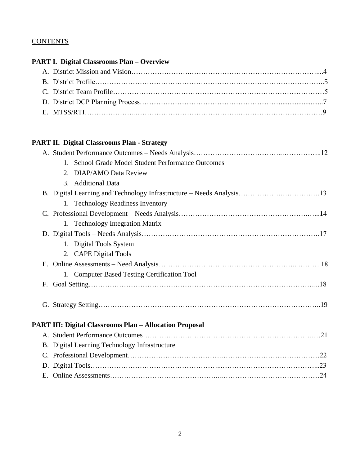## **CONTENTS**

|    | <b>PART I. Digital Classrooms Plan - Overview</b>              |
|----|----------------------------------------------------------------|
|    |                                                                |
|    |                                                                |
|    |                                                                |
|    |                                                                |
|    |                                                                |
|    | <b>PART II. Digital Classrooms Plan - Strategy</b>             |
|    |                                                                |
|    | 1. School Grade Model Student Performance Outcomes             |
|    | 2. DIAP/AMO Data Review                                        |
|    | 3. Additional Data                                             |
|    |                                                                |
|    | 1. Technology Readiness Inventory                              |
|    |                                                                |
|    | 1. Technology Integration Matrix                               |
|    |                                                                |
|    | 1. Digital Tools System                                        |
|    | 2. CAPE Digital Tools                                          |
| Ε. |                                                                |
|    | 1. Computer Based Testing Certification Tool                   |
| F. |                                                                |
|    |                                                                |
|    | <b>PART III: Digital Classrooms Plan - Allocation Proposal</b> |
|    |                                                                |
|    | B. Digital Learning Technology Infrastructure                  |
|    |                                                                |
|    |                                                                |
|    |                                                                |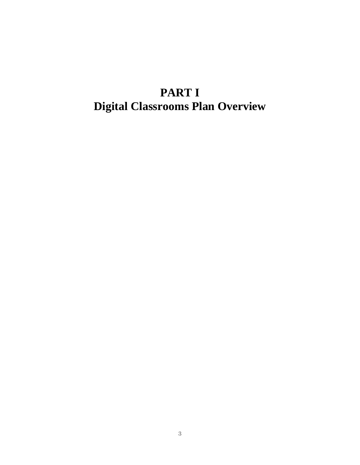# **PART I Digital Classrooms Plan Overview**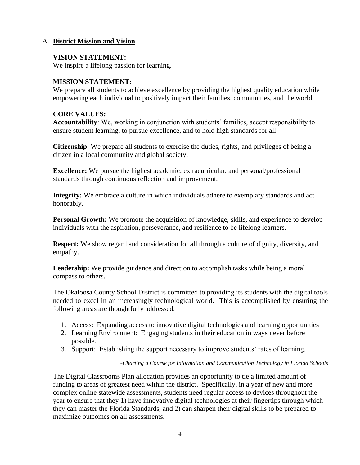## A. **District Mission and Vision**

### **VISION STATEMENT:**

We inspire a lifelong passion for learning.

#### **MISSION STATEMENT:**

We prepare all students to achieve excellence by providing the highest quality education while empowering each individual to positively impact their families, communities, and the world.

#### **CORE VALUES:**

**Accountability**: We, working in conjunction with students' families, accept responsibility to ensure student learning, to pursue excellence, and to hold high standards for all.

**Citizenship**: We prepare all students to exercise the duties, rights, and privileges of being a citizen in a local community and global society.

**Excellence:** We pursue the highest academic, extracurricular, and personal/professional standards through continuous reflection and improvement.

**Integrity:** We embrace a culture in which individuals adhere to exemplary standards and act honorably.

**Personal Growth:** We promote the acquisition of knowledge, skills, and experience to develop individuals with the aspiration, perseverance, and resilience to be lifelong learners.

**Respect:** We show regard and consideration for all through a culture of dignity, diversity, and empathy.

Leadership: We provide guidance and direction to accomplish tasks while being a moral compass to others.

The Okaloosa County School District is committed to providing its students with the digital tools needed to excel in an increasingly technological world. This is accomplished by ensuring the following areas are thoughtfully addressed:

- 1. Access: Expanding access to innovative digital technologies and learning opportunities
- 2. Learning Environment: Engaging students in their education in ways never before possible.
- 3. Support: Establishing the support necessary to improve students' rates of learning.

#### -*Charting a Course for Information and Communication Technology in Florida Schools*

The Digital Classrooms Plan allocation provides an opportunity to tie a limited amount of funding to areas of greatest need within the district. Specifically, in a year of new and more complex online statewide assessments, students need regular access to devices throughout the year to ensure that they 1) have innovative digital technologies at their fingertips through which they can master the Florida Standards, and 2) can sharpen their digital skills to be prepared to maximize outcomes on all assessments.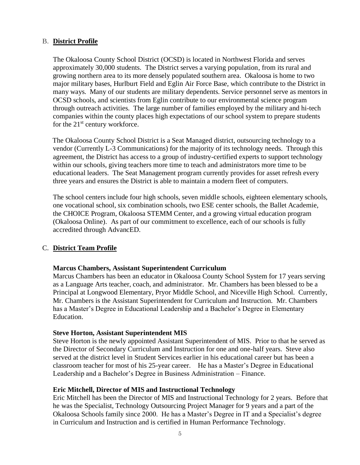#### B. **District Profile**

The Okaloosa County School District (OCSD) is located in Northwest Florida and serves approximately 30,000 students. The District serves a varying population, from its rural and growing northern area to its more densely populated southern area. Okaloosa is home to two major military bases, Hurlburt Field and Eglin Air Force Base, which contribute to the District in many ways. Many of our students are military dependents. Service personnel serve as mentors in OCSD schools, and scientists from Eglin contribute to our environmental science program through outreach activities. The large number of families employed by the military and hi-tech companies within the county places high expectations of our school system to prepare students for the  $21<sup>st</sup>$  century workforce.

The Okaloosa County School District is a Seat Managed district, outsourcing technology to a vendor (Currently L-3 Communications) for the majority of its technology needs. Through this agreement, the District has access to a group of industry-certified experts to support technology within our schools, giving teachers more time to teach and administrators more time to be educational leaders. The Seat Management program currently provides for asset refresh every three years and ensures the District is able to maintain a modern fleet of computers.

The school centers include four high schools, seven middle schools, eighteen elementary schools, one vocational school, six combination schools, two ESE center schools, the Ballet Academie, the CHOICE Program, Okaloosa STEMM Center, and a growing virtual education program (Okaloosa Online). As part of our commitment to excellence, each of our schools is fully accredited through AdvancED.

## C. **District Team Profile**

#### **Marcus Chambers, Assistant Superintendent Curriculum**

Marcus Chambers has been an educator in Okaloosa County School System for 17 years serving as a Language Arts teacher, coach, and administrator. Mr. Chambers has been blessed to be a Principal at Longwood Elementary, Pryor Middle School, and Niceville High School. Currently, Mr. Chambers is the Assistant Superintendent for Curriculum and Instruction. Mr. Chambers has a Master's Degree in Educational Leadership and a Bachelor's Degree in Elementary Education.

#### **Steve Horton, Assistant Superintendent MIS**

Steve Horton is the newly appointed Assistant Superintendent of MIS. Prior to that he served as the Director of Secondary Curriculum and Instruction for one and one-half years. Steve also served at the district level in Student Services earlier in his educational career but has been a classroom teacher for most of his 25-year career. He has a Master's Degree in Educational Leadership and a Bachelor's Degree in Business Administration – Finance.

#### **Eric Mitchell, Director of MIS and Instructional Technology**

Eric Mitchell has been the Director of MIS and Instructional Technology for 2 years. Before that he was the Specialist, Technology Outsourcing Project Manager for 9 years and a part of the Okaloosa Schools family since 2000. He has a Master's Degree in IT and a Specialist's degree in Curriculum and Instruction and is certified in Human Performance Technology.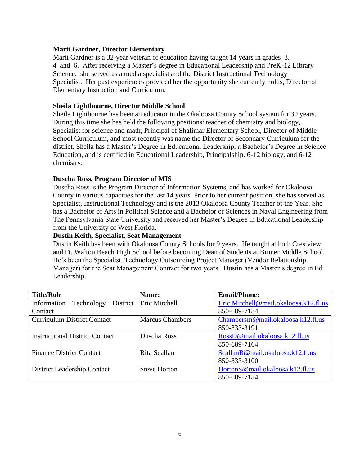#### **Marti Gardner, Director Elementary**

Marti Gardner is a 32-year veteran of education having taught 14 years in grades 3, 4 and 6. After receiving a Master's degree in Educational Leadership and PreK-12 Library Science, she served as a media specialist and the District Instructional Technology Specialist. Her past experiences provided her the opportunity she currently holds, Director of Elementary Instruction and Curriculum.

#### **Sheila Lightbourne, Director Middle School**

Sheila Lightbourne has been an educator in the Okaloosa County School system for 30 years. During this time she has held the following positions: teacher of chemistry and biology, Specialist for science and math, Principal of Shalimar Elementary School, Director of Middle School Curriculum, and most recently was name the Director of Secondary Curriculum for the district. Sheila has a Master's Degree in Educational Leadership, a Bachelor's Degree in Science Education, and is certified in Educational Leadership, Principalship, 6-12 biology, and 6-12 chemistry.

#### **Duscha Ross, Program Director of MIS**

Duscha Ross is the Program Director of Information Systems, and has worked for Okaloosa County in various capacities for the last 14 years. Prior to her current position, she has served as Specialist, Instructional Technology and is the 2013 Okaloosa County Teacher of the Year. She has a Bachelor of Arts in Political Science and a Bachelor of Sciences in Naval Engineering from The Pennsylvania State University and received her Master's Degree in Educational Leadership from the University of West Florida.

#### **Dustin Keith, Specialist, Seat Management**

Dustin Keith has been with Okaloosa County Schools for 9 years. He taught at both Crestview and Ft. Walton Beach High School before becoming Dean of Students at Bruner Middle School. He's been the Specialist, Technology Outsourcing Project Manager (Vendor Relationship Manager) for the Seat Management Contract for two years. Dustin has a Master's degree in Ed Leadership.

| <b>Title/Role</b>                     | Name:                  | <b>Email/Phone:</b>                   |
|---------------------------------------|------------------------|---------------------------------------|
| Information<br>Technology<br>District | Eric Mitchell          | Eric.Mitchell@mail.okaloosa.k12.fl.us |
| Contact                               |                        | 850-689-7184                          |
| <b>Curriculum District Contact</b>    | <b>Marcus Chambers</b> | Chambersm@mail.okaloosa.k12.fl.us     |
|                                       |                        | 850-833-3191                          |
| <b>Instructional District Contact</b> | Duscha Ross            | RossD@mail.okaloosa.k12.fl.us         |
|                                       |                        | 850-689-7164                          |
| <b>Finance District Contact</b>       | Rita Scallan           | ScallanR@mail.okaloosa.k12.fl.us      |
|                                       |                        | 850-833-3100                          |
| District Leadership Contact           | <b>Steve Horton</b>    | HortonS@mail.okaloosa.k12.fl.us       |
|                                       |                        | 850-689-7184                          |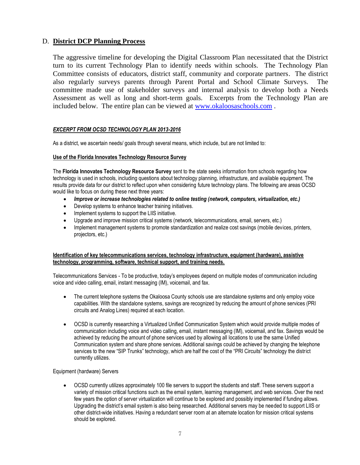#### D. **District DCP Planning Process**

The aggressive timeline for developing the Digital Classroom Plan necessitated that the District turn to its current Technology Plan to identify needs within schools. The Technology Plan Committee consists of educators, district staff, community and corporate partners. The district also regularly surveys parents through Parent Portal and School Climate Surveys. The committee made use of stakeholder surveys and internal analysis to develop both a Needs Assessment as well as long and short-term goals. Excerpts from the Technology Plan are included below. The entire plan can be viewed at [www.okaloosaschools.com](http://www.okaloosaschools.com/) .

#### *EXCERPT FROM OCSD TECHNOLOGY PLAN 2013-2016*

As a district, we ascertain needs/ goals through several means, which include, but are not limited to:

#### **Use of the Florida Innovates Technology Resource Survey**

The **Florida Innovates Technology Resource Survey** sent to the state seeks information from schools regarding how technology is used in schools, including questions about technology planning, infrastructure, and available equipment. The results provide data for our district to reflect upon when considering future technology plans. The following are areas OCSD would like to focus on during these next three years:

- *Improve or increase technologies related to online testing (network, computers, virtualization, etc.)*
- Develop systems to enhance teacher training initiatives.
- Implement systems to support the LIIS initiative.
- Upgrade and improve mission critical systems (network, telecommunications, email, servers, etc.)
- Implement management systems to promote standardization and realize cost savings (mobile devices, printers, projectors, etc.)

#### **Identification of key telecommunications services, technology infrastructure, equipment (hardware), assistive technology, programming, software, technical support, and training needs.**

Telecommunications Services - To be productive, today's employees depend on multiple modes of communication including voice and video calling, email, instant messaging (IM), voicemail, and fax.

- The current telephone systems the Okaloosa County schools use are standalone systems and only employ voice capabilities. With the standalone systems, savings are recognized by reducing the amount of phone services (PRI circuits and Analog Lines) required at each location.
- OCSD is currently researching a Virtualized Unified Communication System which would provide multiple modes of communication including voice and video calling, email, instant messaging (IM), voicemail, and fax. Savings would be achieved by reducing the amount of phone services used by allowing all locations to use the same Unified Communication system and share phone services. Additional savings could be achieved by changing the telephone services to the new "SIP Trunks" technology, which are half the cost of the "PRI Circuits" technology the district currently utilizes.

#### Equipment (hardware) Servers

• OCSD currently utilizes approximately 100 file servers to support the students and staff. These servers support a variety of mission critical functions such as the email system, learning management, and web services. Over the next few years the option of server virtualization will continue to be explored and possibly implemented if funding allows. Upgrading the district's email system is also being researched. Additional servers may be needed to support LIIS or other district-wide initiatives. Having a redundant server room at an alternate location for mission critical systems should be explored.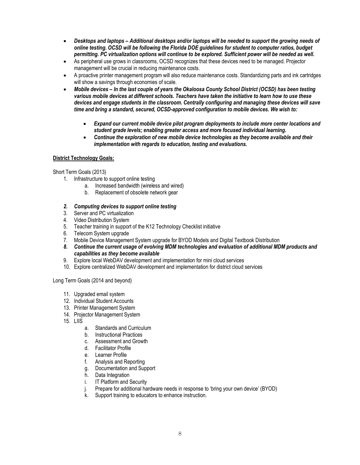- *Desktops and laptops – Additional desktops and/or laptops will be needed to support the growing needs of online testing. OCSD will be following the Florida DOE guidelines for student to computer ratios, budget permitting. PC virtualization options will continue to be explored. Sufficient power will be needed as well.*
- As peripheral use grows in classrooms, OCSD recognizes that these devices need to be managed. Projector management will be crucial in reducing maintenance costs.
- A proactive printer management program will also reduce maintenance costs. Standardizing parts and ink cartridges will show a savings through economies of scale.
- *Mobile devices – In the last couple of years the Okaloosa County School District (OCSD) has been testing various mobile devices at different schools. Teachers have taken the initiative to learn how to use these devices and engage students in the classroom. Centrally configuring and managing these devices will save time and bring a standard, secured, OCSD-approved configuration to mobile devices. We wish to:*
	- *Expand our current mobile device pilot program deployments to include more center locations and student grade levels; enabling greater access and more focused individual learning.*
	- *Continue the exploration of new mobile device technologies as they become available and their implementation with regards to education, testing and evaluations.*

#### **District Technology Goals:**

Short Term Goals (2013)

- 1. Infrastructure to support online testing
	- a. Increased bandwidth (wireless and wired)
	- b. Replacement of obsolete network gear
- *2. Computing devices to support online testing*
- 3. Server and PC virtualization
- 4. Video Distribution System
- 5. Teacher training in support of the K12 Technology Checklist initiative
- 6. Telecom System upgrade
- 7. Mobile Device Management System upgrade for BYOD Models and Digital Textbook Distribution
- *8. Continue the current usage of evolving MDM technologies and evaluation of additional MDM products and capabilities as they become available*
- 9. Explore local WebDAV development and implementation for mini cloud services
- 10. Explore centralized WebDAV development and implementation for district cloud services

Long Term Goals (2014 and beyond)

- 11. Upgraded email system
- 12. Individual Student Accounts
- 13. Printer Management System
- 14. Projector Management System
- 15. LIIS
	- a. Standards and Curriculum
	- b. Instructional Practices
	- c. Assessment and Growth
	- d. Facilitator Profile
	- e. Learner Profile
	- f. Analysis and Reporting
	- g. Documentation and Support
	- h. Data Integration
	- i. IT Platform and Security
	- j. Prepare for additional hardware needs in response to 'bring your own device' (BYOD)
	- k. Support training to educators to enhance instruction.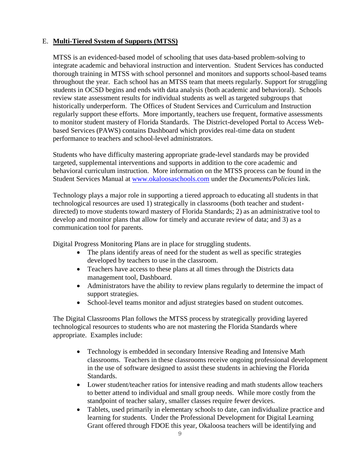## E. **Multi-Tiered System of Supports (MTSS)**

MTSS is an evidenced-based model of schooling that uses data-based problem-solving to integrate academic and behavioral instruction and intervention. Student Services has conducted thorough training in MTSS with school personnel and monitors and supports school-based teams throughout the year. Each school has an MTSS team that meets regularly. Support for struggling students in OCSD begins and ends with data analysis (both academic and behavioral). Schools review state assessment results for individual students as well as targeted subgroups that historically underperform. The Offices of Student Services and Curriculum and Instruction regularly support these efforts. More importantly, teachers use frequent, formative assessments to monitor student mastery of Florida Standards. The District-developed Portal to Access Webbased Services (PAWS) contains Dashboard which provides real-time data on student performance to teachers and school-level administrators.

Students who have difficulty mastering appropriate grade-level standards may be provided targeted, supplemental interventions and supports in addition to the core academic and behavioral curriculum instruction. More information on the MTSS process can be found in the Student Services Manual at [www.okaloosaschools.com](http://www.okaloosaschools.com/) under the *Documents/Policies* link.

Technology plays a major role in supporting a tiered approach to educating all students in that technological resources are used 1) strategically in classrooms (both teacher and studentdirected) to move students toward mastery of Florida Standards; 2) as an administrative tool to develop and monitor plans that allow for timely and accurate review of data; and 3) as a communication tool for parents.

Digital Progress Monitoring Plans are in place for struggling students.

- The plans identify areas of need for the student as well as specific strategies developed by teachers to use in the classroom.
- Teachers have access to these plans at all times through the Districts data management tool, Dashboard.
- Administrators have the ability to review plans regularly to determine the impact of support strategies.
- School-level teams monitor and adjust strategies based on student outcomes.

The Digital Classrooms Plan follows the MTSS process by strategically providing layered technological resources to students who are not mastering the Florida Standards where appropriate. Examples include:

- Technology is embedded in secondary Intensive Reading and Intensive Math classrooms. Teachers in these classrooms receive ongoing professional development in the use of software designed to assist these students in achieving the Florida Standards.
- Lower student/teacher ratios for intensive reading and math students allow teachers to better attend to individual and small group needs. While more costly from the standpoint of teacher salary, smaller classes require fewer devices.
- Tablets, used primarily in elementary schools to date, can individualize practice and learning for students. Under the Professional Development for Digital Learning Grant offered through FDOE this year, Okaloosa teachers will be identifying and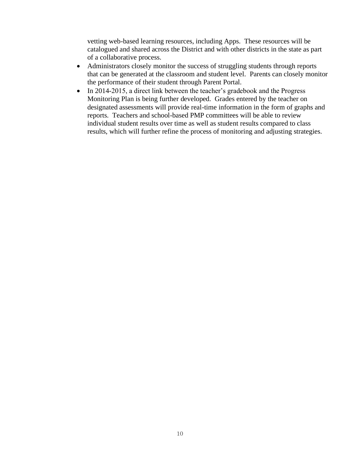vetting web-based learning resources, including Apps. These resources will be catalogued and shared across the District and with other districts in the state as part of a collaborative process.

- Administrators closely monitor the success of struggling students through reports that can be generated at the classroom and student level. Parents can closely monitor the performance of their student through Parent Portal.
- In 2014-2015, a direct link between the teacher's gradebook and the Progress Monitoring Plan is being further developed. Grades entered by the teacher on designated assessments will provide real-time information in the form of graphs and reports. Teachers and school-based PMP committees will be able to review individual student results over time as well as student results compared to class results, which will further refine the process of monitoring and adjusting strategies.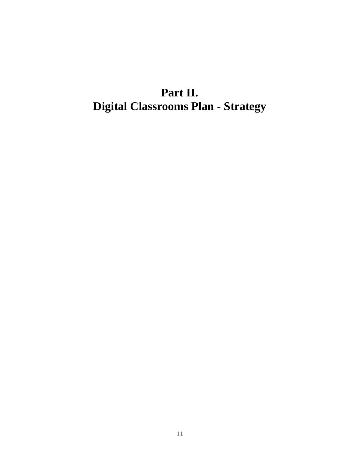# **Part II. Digital Classrooms Plan - Strategy**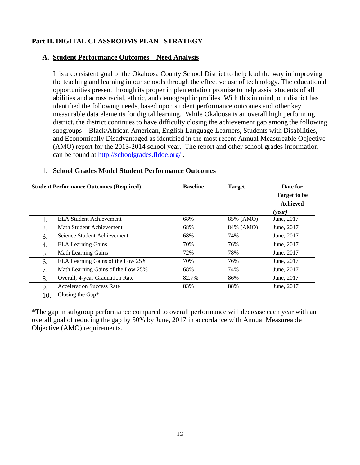## **Part II. DIGITAL CLASSROOMS PLAN –STRATEGY**

## **A. Student Performance Outcomes – Need Analysis**

It is a consistent goal of the Okaloosa County School District to help lead the way in improving the teaching and learning in our schools through the effective use of technology. The educational opportunities present through its proper implementation promise to help assist students of all abilities and across racial, ethnic, and demographic profiles. With this in mind, our district has identified the following needs, based upon student performance outcomes and other key measurable data elements for digital learning. While Okaloosa is an overall high performing district, the district continues to have difficulty closing the achievement gap among the following subgroups – Black/African American, English Language Learners, Students with Disabilities, and Economically Disadvantaged as identified in the most recent Annual Measureable Objective (AMO) report for the 2013-2014 school year. The report and other school grades information can be found at<http://schoolgrades.fldoe.org/>.

|     | <b>Student Performance Outcomes (Required)</b> |       | <b>Target</b> | Date for            |
|-----|------------------------------------------------|-------|---------------|---------------------|
|     |                                                |       |               | <b>Target to be</b> |
|     |                                                |       |               | <b>Achieved</b>     |
|     |                                                |       |               | (vear)              |
| 1.  | <b>ELA Student Achievement</b>                 | 68%   | 85% (AMO)     | June, 2017          |
| 2.  | Math Student Achievement                       | 68%   | 84% (AMO)     | June, 2017          |
| 3.  | Science Student Achievement                    | 68%   | 74%           | June, 2017          |
| 4.  | <b>ELA Learning Gains</b>                      | 70%   | 76%           | June, 2017          |
| 5.  | Math Learning Gains                            | 72%   | 78%           | June, 2017          |
| 6.  | ELA Learning Gains of the Low 25%              | 70%   | 76%           | June, 2017          |
| 7.  | Math Learning Gains of the Low 25%             | 68%   | 74%           | June, 2017          |
| 8.  | Overall, 4-year Graduation Rate                | 82.7% | 86%           | June, 2017          |
| 9.  | <b>Acceleration Success Rate</b>               | 83%   | 88%           | June, 2017          |
| 10. | Closing the Gap*                               |       |               |                     |

#### 1. **School Grades Model Student Performance Outcomes**

\*The gap in subgroup performance compared to overall performance will decrease each year with an overall goal of reducing the gap by 50% by June, 2017 in accordance with Annual Measureable Objective (AMO) requirements.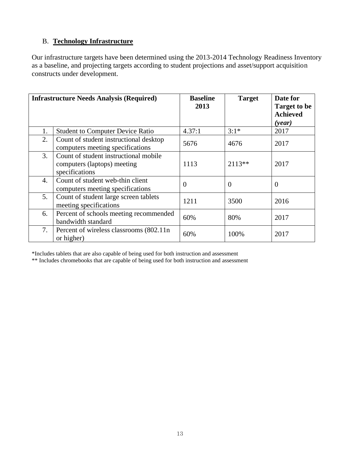## B. **Technology Infrastructure**

Our infrastructure targets have been determined using the 2013-2014 Technology Readiness Inventory as a baseline, and projecting targets according to student projections and asset/support acquisition constructs under development.

|    | <b>Infrastructure Needs Analysis (Required)</b>                                        | <b>Baseline</b><br>2013 | <b>Target</b> | Date for<br><b>Target to be</b><br><b>Achieved</b><br>( <i>year</i> ) |
|----|----------------------------------------------------------------------------------------|-------------------------|---------------|-----------------------------------------------------------------------|
| 1. | <b>Student to Computer Device Ratio</b>                                                | 4.37:1                  | $3:1*$        | 2017                                                                  |
| 2. | Count of student instructional desktop<br>computers meeting specifications             | 5676                    | 4676          | 2017                                                                  |
| 3. | Count of student instructional mobile<br>computers (laptops) meeting<br>specifications | 1113                    | $2113**$      | 2017                                                                  |
| 4. | Count of student web-thin client<br>computers meeting specifications                   | $\theta$                | $\theta$      | $\theta$                                                              |
| 5. | Count of student large screen tablets<br>meeting specifications                        | 1211                    | 3500          | 2016                                                                  |
| 6. | Percent of schools meeting recommended<br>bandwidth standard                           | 60%                     | 80%           | 2017                                                                  |
| 7. | Percent of wireless classrooms (802.11n)<br>or higher)                                 | 60%                     | 100%          | 2017                                                                  |

\*Includes tablets that are also capable of being used for both instruction and assessment

\*\* Includes chromebooks that are capable of being used for both instruction and assessment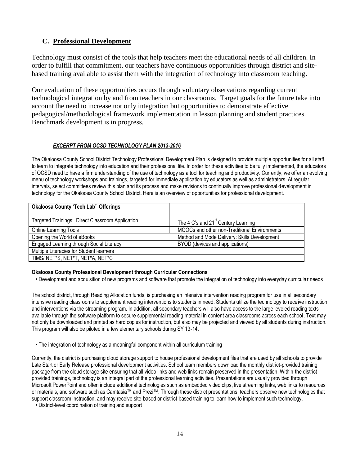## **C. Professional Development**

Technology must consist of the tools that help teachers meet the educational needs of all children. In order to fulfill that commitment, our teachers have continuous opportunities through district and sitebased training available to assist them with the integration of technology into classroom teaching.

Our evaluation of these opportunities occurs through voluntary observations regarding current technological integration by and from teachers in our classrooms. Target goals for the future take into account the need to increase not only integration but opportunities to demonstrate effective pedagogical/methodological framework implementation in lesson planning and student practices. Benchmark development is in progress.

#### *EXCERPT FROM OCSD TECHNOLOGY PLAN 2013-2016*

The Okaloosa County School District Technology Professional Development Plan is designed to provide multiple opportunities for all staff to learn to integrate technology into education and their professional life. In order for these activities to be fully implemented, the educators of OCSD need to have a firm understanding of the use of technology as a tool for teaching and productivity. Currently, we offer an evolving menu of technology workshops and trainings, targeted for immediate application by educators as well as administrators. At regular intervals, select committees review this plan and its process and make revisions to continually improve professional development in technology for the Okaloosa County School District. Here is an overview of opportunities for professional development.

| <b>Okaloosa County 'Tech Lab" Offerings</b>      |                                                 |
|--------------------------------------------------|-------------------------------------------------|
| Targeted Trainings: Direct Classroom Application | The 4 C's and 21 <sup>st</sup> Century Learning |
| <b>Online Learning Tools</b>                     | MOOCs and other non-Traditional Environments    |
| Opening the World of eBooks                      | Method and Mode Delivery: Skills Development    |
| Engaged Learning through Social Literacy         | BYOD (devices and applications)                 |
| Multiple Literacies for Student learners         |                                                 |
| TIMS/ NET*S, NET*T, NET*A, NET*C                 |                                                 |

#### **Okaloosa County Professional Development through Curricular Connections**

• Development and acquisition of new programs and software that promote the integration of technology into everyday curricular needs

The school district, through Reading Allocation funds, is purchasing an intensive intervention reading program for use in all secondary intensive reading classrooms to supplement reading interventions to students in need. Students utilize the technology to receive instruction and interventions via the streaming program. In addition, all secondary teachers will also have access to the large leveled reading texts available through the software platform to secure supplemental reading material in content area classrooms across each school. Text may not only be downloaded and printed as hard copies for instruction, but also may be projected and viewed by all students during instruction. This program will also be piloted in a few elementary schools during SY 13-14.

• The integration of technology as a meaningful component within all curriculum training

Currently, the district is purchasing cloud storage support to house professional development files that are used by all schools to provide Late Start or Early Release professional development activities. School team members download the monthly district-provided training package from the cloud storage site ensuring that all video links and web links remain preserved in the presentation. Within the districtprovided trainings, technology is an integral part of the professional learning activities. Presentations are usually provided through Microsoft PowerPoint and often include additional technologies such as embedded video clips, live streaming links, web links to resources or materials, and software such as Camtasia™ and Prezi™. Through these district presentations, teachers observe new technologies that support classroom instruction, and may receive site-based or district-based training to learn how to implement such technology.

• District-level coordination of training and support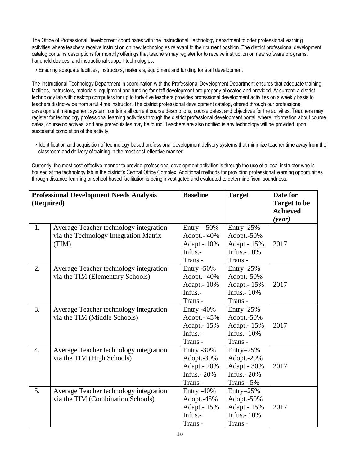The Office of Professional Development coordinates with the Instructional Technology department to offer professional learning activities where teachers receive instruction on new technologies relevant to their current position. The district professional development catalog contains descriptions for monthly offerings that teachers may register for to receive instruction on new software programs, handheld devices, and instructional support technologies.

• Ensuring adequate facilities, instructors, materials, equipment and funding for staff development

The Instructional Technology Department in coordination with the Professional Development Department ensures that adequate training facilities, instructors, materials, equipment and funding for staff development are properly allocated and provided. At current, a district technology lab with desktop computers for up to forty-five teachers provides professional development activities on a weekly basis to teachers district-wide from a full-time instructor. The district professional development catalog, offered through our professional development management system, contains all current course descriptions, course dates, and objectives for the activities. Teachers may register for technology professional learning activities through the district professional development portal, where information about course dates, course objectives, and any prerequisites may be found. Teachers are also notified is any technology will be provided upon successful completion of the activity.

 • Identification and acquisition of technology-based professional development delivery systems that minimize teacher time away from the classroom and delivery of training in the most cost-effective manner

Currently, the most cost-effective manner to provide professional development activities is through the use of a local instructor who is housed at the technology lab in the district's Central Office Complex. Additional methods for providing professional learning opportunities through distance-learning or school-based facilitation is being investigated and evaluated to determine fiscal soundness.

| <b>Professional Development Needs Analysis</b><br>(Required) |                                                                                          | <b>Baseline</b>                                                         | <b>Target</b>                                                            | Date for<br><b>Target to be</b><br><b>Achieved</b><br>(year) |
|--------------------------------------------------------------|------------------------------------------------------------------------------------------|-------------------------------------------------------------------------|--------------------------------------------------------------------------|--------------------------------------------------------------|
| 1.                                                           | Average Teacher technology integration<br>via the Technology Integration Matrix<br>(TIM) | $Entry - 50\%$<br>Adopt. - 40%<br>Adapt.- 10%<br>Infus.-<br>Trans.-     | $Entry-25%$<br>Adopt.-50%<br>Adapt.- 15%<br>Infus. $-10\%$<br>Trans.-    | 2017                                                         |
| 2.                                                           | Average Teacher technology integration<br>via the TIM (Elementary Schools)               | Entry $-50\%$<br>Adopt. - 40%<br>Adapt.- 10%<br>Infus.-<br>Trans.-      | Entry-25%<br>Adopt.-50%<br>Adapt.- 15%<br>Infus. $-10\%$<br>Trans.-      | 2017                                                         |
| 3.                                                           | Average Teacher technology integration<br>via the TIM (Middle Schools)                   | Entry $-40\%$<br>Adopt. - 45%<br>Adapt.- 15%<br>Infus.-<br>Trans.-      | $Entry-25%$<br>Adopt.-50%<br>Adapt.- 15%<br>Infus. $-10\%$<br>Trans.-    | 2017                                                         |
| 4.                                                           | Average Teacher technology integration<br>via the TIM (High Schools)                     | Entry $-30\%$<br>Adopt.-30%<br>Adapt.- 20%<br>Infus. $-20\%$<br>Trans.- | $Entry-25%$<br>Adopt.-20%<br>Adapt.- 30%<br>Infus.- 20%<br>Trans. $-5\%$ | 2017                                                         |
| 5.                                                           | Average Teacher technology integration<br>via the TIM (Combination Schools)              | Entry $-40\%$<br>Adopt.-45%<br>Adapt.- 15%<br>Infus.-<br>Trans.-        | $Entry-25%$<br>Adopt.-50%<br>Adapt.- 15%<br>Infus.- 10%<br>Trans.-       | 2017                                                         |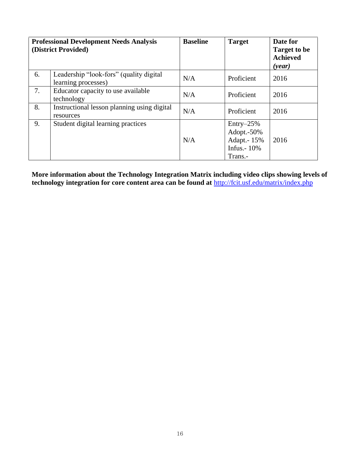| <b>Professional Development Needs Analysis</b><br>(District Provided) |                                                                | <b>Baseline</b> | <b>Target</b>                                                         | Date for<br><b>Target to be</b><br><b>Achieved</b><br>( <i>year</i> ) |
|-----------------------------------------------------------------------|----------------------------------------------------------------|-----------------|-----------------------------------------------------------------------|-----------------------------------------------------------------------|
| 6.                                                                    | Leadership "look-fors" (quality digital<br>learning processes) | N/A             | Proficient                                                            | 2016                                                                  |
| 7.                                                                    | Educator capacity to use available<br>technology               | N/A             | Proficient                                                            | 2016                                                                  |
| 8.                                                                    | Instructional lesson planning using digital<br>resources       | N/A             | Proficient                                                            | 2016                                                                  |
| 9.                                                                    | Student digital learning practices                             | N/A             | $Entry-25%$<br>Adopt.-50%<br>Adapt.- 15%<br>Infus. $-10\%$<br>Trans.- | 2016                                                                  |

**More information about the Technology Integration Matrix including video clips showing levels of technology integration for core content area can be found at** <http://fcit.usf.edu/matrix/index.php>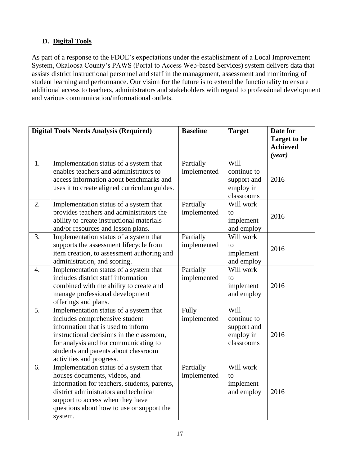## **D. Digital Tools**

As part of a response to the FDOE's expectations under the establishment of a Local Improvement System, Okaloosa County's PAWS (Portal to Access Web-based Services) system delivers data that assists district instructional personnel and staff in the management, assessment and monitoring of student learning and performance. Our vision for the future is to extend the functionality to ensure additional access to teachers, administrators and stakeholders with regard to professional development and various communication/informational outlets.

|                  | <b>Digital Tools Needs Analysis (Required)</b>                                                                                                                                                                                                                           | <b>Baseline</b>          | <b>Target</b>                                                 | Date for<br><b>Target to be</b> |
|------------------|--------------------------------------------------------------------------------------------------------------------------------------------------------------------------------------------------------------------------------------------------------------------------|--------------------------|---------------------------------------------------------------|---------------------------------|
|                  |                                                                                                                                                                                                                                                                          |                          |                                                               | <b>Achieved</b><br>(year)       |
| 1.               | Implementation status of a system that<br>enables teachers and administrators to<br>access information about benchmarks and<br>uses it to create aligned curriculum guides.                                                                                              | Partially<br>implemented | Will<br>continue to<br>support and<br>employ in<br>classrooms | 2016                            |
| 2.               | Implementation status of a system that<br>provides teachers and administrators the<br>ability to create instructional materials<br>and/or resources and lesson plans.                                                                                                    | Partially<br>implemented | Will work<br>to<br>implement<br>and employ                    | 2016                            |
| 3.               | Implementation status of a system that<br>supports the assessment lifecycle from<br>item creation, to assessment authoring and<br>administration, and scoring.                                                                                                           | Partially<br>implemented | Will work<br>$\mathsf{to}$<br>implement<br>and employ         | 2016                            |
| $\overline{4}$ . | Implementation status of a system that<br>includes district staff information<br>combined with the ability to create and<br>manage professional development<br>offerings and plans.                                                                                      | Partially<br>implemented | Will work<br>$\mathsf{to}$<br>implement<br>and employ         | 2016                            |
| 5.               | Implementation status of a system that<br>includes comprehensive student<br>information that is used to inform<br>instructional decisions in the classroom,<br>for analysis and for communicating to<br>students and parents about classroom<br>activities and progress. | Fully<br>implemented     | Will<br>continue to<br>support and<br>employ in<br>classrooms | 2016                            |
| 6.               | Implementation status of a system that<br>houses documents, videos, and<br>information for teachers, students, parents,<br>district administrators and technical<br>support to access when they have<br>questions about how to use or support the<br>system.             | Partially<br>implemented | Will work<br>to<br>implement<br>and employ                    | 2016                            |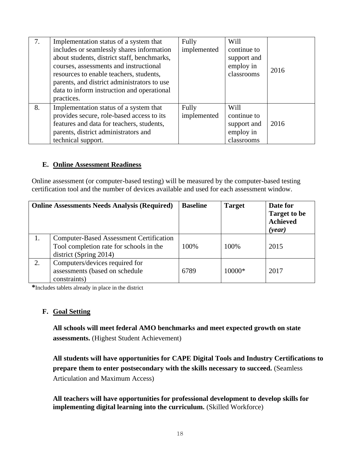| 7. | Implementation status of a system that<br>includes or seamlessly shares information<br>about students, district staff, benchmarks,                                                           | Fully<br>implemented | Will<br>continue to<br>support and |      |
|----|----------------------------------------------------------------------------------------------------------------------------------------------------------------------------------------------|----------------------|------------------------------------|------|
|    | courses, assessments and instructional<br>resources to enable teachers, students,<br>parents, and district administrators to use<br>data to inform instruction and operational<br>practices. |                      | employ in<br>classrooms            | 2016 |
| 8. | Implementation status of a system that<br>provides secure, role-based access to its<br>features and data for teachers, students,                                                             | Fully<br>implemented | Will<br>continue to<br>support and | 2016 |
|    | parents, district administrators and<br>technical support.                                                                                                                                   |                      | employ in<br>classrooms            |      |

#### **E. Online Assessment Readiness**

Online assessment (or computer-based testing) will be measured by the computer-based testing certification tool and the number of devices available and used for each assessment window.

| <b>Online Assessments Needs Analysis (Required)</b> |                                                                                                                     | <b>Baseline</b> | <b>Target</b> | Date for<br><b>Target to be</b><br><b>Achieved</b><br>( <i>year</i> ) |
|-----------------------------------------------------|---------------------------------------------------------------------------------------------------------------------|-----------------|---------------|-----------------------------------------------------------------------|
| 1.                                                  | <b>Computer-Based Assessment Certification</b><br>Tool completion rate for schools in the<br>district (Spring 2014) | 100%            | 100%          | 2015                                                                  |
| 2.                                                  | Computers/devices required for<br>assessments (based on schedule<br>constraints)                                    | 6789            | $10000*$      | 2017                                                                  |

**\***Includes tablets already in place in the district

## **F. Goal Setting**

**All schools will meet federal AMO benchmarks and meet expected growth on state assessments.** (Highest Student Achievement)

**All students will have opportunities for CAPE Digital Tools and Industry Certifications to prepare them to enter postsecondary with the skills necessary to succeed.** (Seamless Articulation and Maximum Access)

**All teachers will have opportunities for professional development to develop skills for implementing digital learning into the curriculum.** (Skilled Workforce)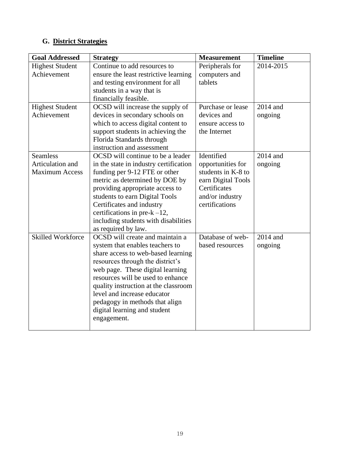## **G. District Strategies**

| <b>Goal Addressed</b>    | <b>Strategy</b>                        | <b>Measurement</b> | <b>Timeline</b> |
|--------------------------|----------------------------------------|--------------------|-----------------|
| <b>Highest Student</b>   | Continue to add resources to           | Peripherals for    | 2014-2015       |
| Achievement              | ensure the least restrictive learning  | computers and      |                 |
|                          | and testing environment for all        | tablets            |                 |
|                          | students in a way that is              |                    |                 |
|                          | financially feasible.                  |                    |                 |
| <b>Highest Student</b>   | OCSD will increase the supply of       | Purchase or lease  | 2014 and        |
| Achievement              | devices in secondary schools on        | devices and        | ongoing         |
|                          | which to access digital content to     | ensure access to   |                 |
|                          | support students in achieving the      | the Internet       |                 |
|                          | Florida Standards through              |                    |                 |
|                          | instruction and assessment             |                    |                 |
| <b>Seamless</b>          | OCSD will continue to be a leader      | Identified         | 2014 and        |
| Articulation and         | in the state in industry certification | opportunities for  | ongoing         |
| <b>Maximum Access</b>    | funding per 9-12 FTE or other          | students in K-8 to |                 |
|                          | metric as determined by DOE by         | earn Digital Tools |                 |
|                          | providing appropriate access to        | Certificates       |                 |
|                          | students to earn Digital Tools         | and/or industry    |                 |
|                          | Certificates and industry              | certifications     |                 |
|                          | certifications in pre- $k-12$ ,        |                    |                 |
|                          | including students with disabilities   |                    |                 |
|                          | as required by law.                    |                    |                 |
| <b>Skilled Workforce</b> | OCSD will create and maintain a        | Database of web-   | 2014 and        |
|                          | system that enables teachers to        | based resources    | ongoing         |
|                          | share access to web-based learning     |                    |                 |
|                          | resources through the district's       |                    |                 |
|                          | web page. These digital learning       |                    |                 |
|                          | resources will be used to enhance      |                    |                 |
|                          | quality instruction at the classroom   |                    |                 |
|                          | level and increase educator            |                    |                 |
|                          | pedagogy in methods that align         |                    |                 |
|                          | digital learning and student           |                    |                 |
|                          | engagement.                            |                    |                 |
|                          |                                        |                    |                 |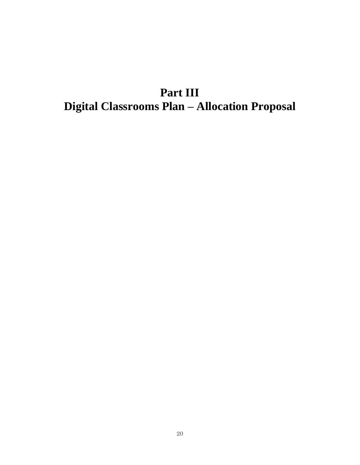## **Part III Digital Classrooms Plan – Allocation Proposal**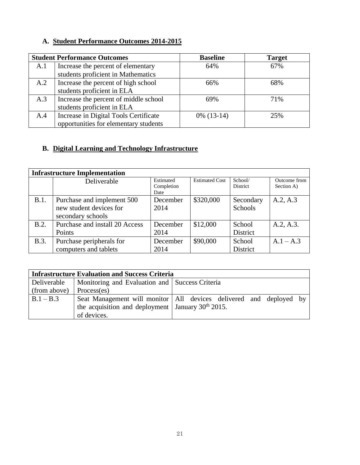## **A. Student Performance Outcomes 2014-2015**

|     | <b>Student Performance Outcomes</b>   | <b>Baseline</b> | <b>Target</b> |
|-----|---------------------------------------|-----------------|---------------|
| A.1 | Increase the percent of elementary    | 64%             | 67%           |
|     | students proficient in Mathematics    |                 |               |
| A.2 | Increase the percent of high school   | 66%             | 68%           |
|     | students proficient in ELA            |                 |               |
| A.3 | Increase the percent of middle school | 69%             | 71%           |
|     | students proficient in ELA            |                 |               |
| A.4 | Increase in Digital Tools Certificate | $0\%$ (13-14)   | 25%           |
|     | opportunities for elementary students |                 |               |

## **B. Digital Learning and Technology Infrastructure**

|             | <b>Infrastructure Implementation</b>                                       |                                 |                       |                             |                            |
|-------------|----------------------------------------------------------------------------|---------------------------------|-----------------------|-----------------------------|----------------------------|
|             | Deliverable                                                                | Estimated<br>Completion<br>Date | <b>Estimated Cost</b> | School/<br><b>District</b>  | Outcome from<br>Section A) |
| B.1.        | Purchase and implement 500<br>new student devices for<br>secondary schools | December<br>2014                | \$320,000             | Secondary<br><b>Schools</b> | A.2, A.3                   |
| B.2.        | Purchase and install 20 Access<br>Points                                   | December<br>2014                | \$12,000              | School<br>District          | A.2, A.3.                  |
| <b>B.3.</b> | Purchase peripherals for<br>computers and tablets                          | December<br>2014                | \$90,000              | School<br>District          | $A.1 - A.3$                |

|              | <b>Infrastructure Evaluation and Success Criteria</b>  |                                                                      |  |  |  |
|--------------|--------------------------------------------------------|----------------------------------------------------------------------|--|--|--|
| Deliverable  | Monitoring and Evaluation and   Success Criteria       |                                                                      |  |  |  |
| (from above) | Process(es)                                            |                                                                      |  |  |  |
| $B.1 - B.3$  |                                                        | Seat Management will monitor   All devices delivered and deployed by |  |  |  |
|              | the acquisition and deployment   January $30th 2015$ . |                                                                      |  |  |  |
|              | of devices.                                            |                                                                      |  |  |  |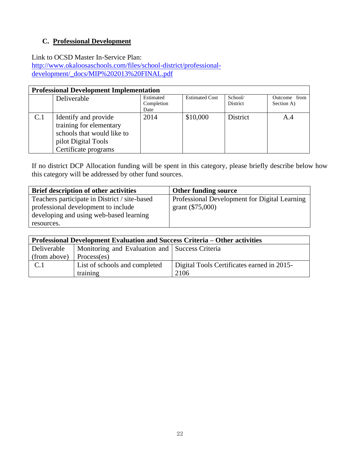## **C. Professional Development**

Link to OCSD Master In-Service Plan:

[http://www.okaloosaschools.com/files/school-district/professional](http://www.okaloosaschools.com/files/school-district/professional-development/_docs/MIP%202013%20FINAL.pdf)[development/\\_docs/MIP%202013%20FINAL.pdf](http://www.okaloosaschools.com/files/school-district/professional-development/_docs/MIP%202013%20FINAL.pdf)

|     | <b>Professional Development Implementation</b>        |                         |                       |                            |                            |  |
|-----|-------------------------------------------------------|-------------------------|-----------------------|----------------------------|----------------------------|--|
|     | Deliverable                                           | Estimated<br>Completion | <b>Estimated Cost</b> | School/<br><b>District</b> | Outcome from<br>Section A) |  |
| C.1 | Identify and provide                                  | Date<br>2014            | \$10,000              | <b>District</b>            | A.4                        |  |
|     | training for elementary<br>schools that would like to |                         |                       |                            |                            |  |
|     | pilot Digital Tools<br>Certificate programs           |                         |                       |                            |                            |  |

If no district DCP Allocation funding will be spent in this category, please briefly describe below how this category will be addressed by other fund sources.

| <b>Brief description of other activities</b>  | <b>Other funding source</b>                   |
|-----------------------------------------------|-----------------------------------------------|
| Teachers participate in District / site-based | Professional Development for Digital Learning |
| professional development to include           | grant $(\$75,000)$                            |
| developing and using web-based learning       |                                               |
| resources.                                    |                                               |

| <b>Professional Development Evaluation and Success Criteria – Other activities</b> |                                                |                                            |  |
|------------------------------------------------------------------------------------|------------------------------------------------|--------------------------------------------|--|
| <b>Deliverable</b>                                                                 | Monitoring and Evaluation and Success Criteria |                                            |  |
| (from above)                                                                       | Process(es)                                    |                                            |  |
| C.1                                                                                | List of schools and completed                  | Digital Tools Certificates earned in 2015- |  |
|                                                                                    | training                                       | 2106                                       |  |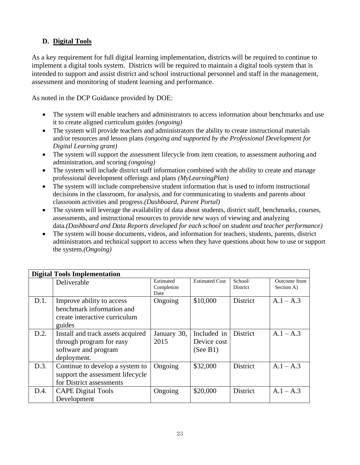## **D. Digital Tools**

As a key requirement for full digital learning implementation, districts will be required to continue to implement a digital tools system. Districts will be required to maintain a digital tools system that is intended to support and assist district and school instructional personnel and staff in the management, assessment and monitoring of student learning and performance.

As noted in the DCP Guidance provided by DOE:

- The system will enable teachers and administrators to access information about benchmarks and use it to create aligned curriculum guides *(ongoing)*
- The system will provide teachers and administrators the ability to create instructional materials and/or resources and lesson plans *(ongoing and supported by the Professional Development for Digital Learning grant)*
- The system will support the assessment lifecycle from item creation, to assessment authoring and administration, and scoring *(ongoing)*
- The system will include district staff information combined with the ability to create and manage professional development offerings and plans *(MyLearningPlan)*
- The system will include comprehensive student information that is used to inform instructional decisions in the classroom, for analysis, and for communicating to students and parents about classroom activities and progress.*(Dashboard, Parent Portal)*
- The system will leverage the availability of data about students, district staff, benchmarks, courses, assessments, and instructional resources to provide new ways of viewing and analyzing data.*(Dashboard and Data Reports developed for each school on student and teacher performance)*
- The system will house documents, videos, and information for teachers, students, parents, district administrators and technical support to access when they have questions about how to use or support the system.*(Ongoing)*

|      | <b>Digital Tools Implementation</b>                                                                  |                                 |                                        |                            |                            |
|------|------------------------------------------------------------------------------------------------------|---------------------------------|----------------------------------------|----------------------------|----------------------------|
|      | Deliverable                                                                                          | Estimated<br>Completion<br>Date | <b>Estimated Cost</b>                  | School/<br><b>District</b> | Outcome from<br>Section A) |
| D.1. | Improve ability to access<br>benchmark information and<br>create interactive curriculum<br>guides    | Ongoing                         | \$10,000                               | District                   | $A.1 - A.3$                |
| D.2. | Install and track assets acquired<br>through program for easy<br>software and program<br>deployment. | January 30,<br>2015             | Included in<br>Device cost<br>(See B1) | District                   | $A.1 - A.3$                |
| D.3. | Continue to develop a system to<br>support the assessment lifecycle<br>for District assessments      | Ongoing                         | \$32,000                               | <b>District</b>            | $A.1 - A.3$                |
| D.4. | <b>CAPE Digital Tools</b><br>Development                                                             | Ongoing                         | \$20,000                               | <b>District</b>            | $A.1 - A.3$                |